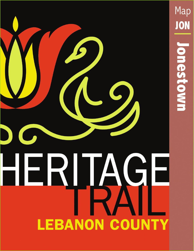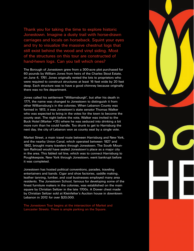Thank you for taking the time to explore historic Jonestown. Imagine a dusty trail with horse-drawn carriages and locals on horseback. Squint your eyes and try to visualize the massive chestnut logs that still exist behind the wood and vinyl siding. Most of the structures on this tour are constructed of hand-hewn logs. Can you tell which ones?

The Borough of Jonestown grew from a 300-acre plot purchased for 60 pounds by William Jones from heirs of the Charles Stout Estate, on June 4, 1761. Jones originally rented the lots to proprietors who were required to construct structures at least 16 feet wide by 20 feet deep. Each structure was to have a good chimney because originally there was no fire department.

Jones called his settlement "Williamsburgh", but after his death in 1771, the name was changed to Jonestown to distinguish it from other Williamsburg's in the colonies. When Lebanon County was formed in 1813, it was Jonestown's state senator Thomas Walker who was expected to bring in the votes for the town to become the county seat. The night before the vote, Walker was invited to the Buck Hotel (Marker #25) where he was seduced into drinking a bit more rum than he could handle. Too drunk to get to Harrisburg the next day, the city of Lebanon won as county seat by a single vote.

Market Street, a main travel route between Harrisburg and New York, and the nearby Union Canal, which operated between 1827 and 1862, brought many travelers through Jonestown. The South Mountain Railroad would have sealed Jonestown's place as a major city in the area. This fabled rail line, which was to connect Harrisburg to Poughkeepsie, New York through Jonestown, went bankrupt before it was completed.

Jonestown has hosted political conventions, parades, traveling entertainers and bands. Cigar and shoe factories, saddle making, leather tanning, lumber, and coal businesses employed many area residents. The Jonestown School, famous for developing some of the finest furniture makers in the colonies, was established on the main square by Christian Seltzer in the late 1700s. A Dower chest made by Christian Seltzer sold at Kleinfelter's Auction house in downtown Lebanon in 2012 for over \$20,000.

The Jonestown Tour begins at the intersection of Market and Lancaster Streets. There is ample parking on the Square.

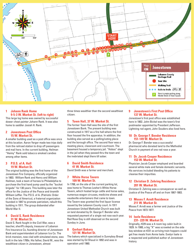

#### **1 Johann Rank Home 9-5-3 W. Market St. (left to right)**

This large log home was owned by successful dower chest painter Johann Rank. It was also home to saddler Josiah H. Rank.

#### **2 Jonestown Post Office 15 W. Market St.**

A smaller building used as a post office was once at this location. Aaron Yerger made two trips daily from the railroad station to drop off passengers and mail here. In the current building, Heilman "Heimy" Rank sold tobacco smoked candies among other items.

#### **3 P.O.S. of A. Hall 19 W. Market St.**

The original building was the first home of the Jonestown Fire Company, officially organized in 1803. William Rank and Henry and William Heilman, took a team of horses to Philadelphia to purchase the first hand pump used by the "bucket brigade" for 130 years. This building was later the office for the Justice of the Peace and tinsmith William Leffler. The P.O.S. of A. (Patriotic Order of the Sons of America), a fraternal organization founded in 1847 to promote patriotism, rebuilt this building in 1911. The group disbanded after World War II.

#### **4 David S. Rank Residence 31 W. Market St.**

David S. Rank fought in the Civil War, was a teacher, sheriff's deputy, treasurer of Lebanon Fire Insurance Co, founding director of Jonestown Bank and superintendent of Lebanon Ice Co. The brick mansion, now clad with simulated stone, was built in the late 1700s. His father, David M., was the wealthiest citizen in Jonestown, almost

three times wealthier than the second wealthiest citizen.

#### **5 Town Hall, 37 W. Market St.**

The former Town Hall was the site of the first Jonestown Bank. The present building was constructed in 1917 as a fire hall where the first floor housed the fire apparatus. In addition, the building also served as a polling/voting place and the borough office. The second floor was a meeting place, classroom and courtroom. The basement housed a temporary jail. "Hobos" slept in the jail when they passed thru the town and the inebriated slept there till sober.

## **6 David Smith Residence 41 W. Market St.**

David Smith was a farmer and merchant.

### **7 White Horse Tavern 109 W. Market St.**

In 1788, on the site of the current parking lot, was home to Thomas Lesher's White Horse Tavern, which hosted large cattle and horse sales, numerous wagon circuses, medicine shows and vaudeville entertainers that came to town. The Tavern was granted the first liquor license issued by the Lebanon County court. In 1911 Jonestown United Methodist Church was built on land donated by Dr. George F. Bender who requested payment of a single red rose each year. Red Rose Day is still observed on the second Sunday in June.

### **8 Gerhart Bakery 121 W. Market St.**

The bakery which specialized in Sunnyboy Bread was started by Ed Shaud in 1892 and was in operation until 1960.

#### **9 Jonestown's First Post Office 137 W. Market St.**

Jonestown's first post office was established here in 1802. John Bickel was the town's first postmaster appointed by President Jefferson. Lightning rod agent, John Souders also lived here.

## **10 Dr. George F. Bender Residence 151-149 W. Market St.**

Dr. George F. Bender was a successful pharmacist who donated land to the Methodist Church in payment of one red rose a year.

#### **11 Dr. Jacob Cooper Residence 153 W. Market St.**

Physician Jacob Cooper employed and boarded several white male and female domestic servants. His services included bleeding his patients to cleanse their impurities.

## **12 Christian D. Zehring Residence 201 W. Market St.**

Christian D. Zehring was a conveyancer as well as Justice of the Peace off and on from 1867-1883.

#### **13 Moses F. Arndt Residence 211 W. Market St.**

Moses F. Arndt was a farmer and Justice of the Peace from 1873-1877.

#### **14 Isele Residence 231- 229 W. Market St.**

Originally, #229 was a 4-room log cabin built in 1829. In 1900, a big "X" was scrawled on the side bay window at #231 so arriving train hoppers could get free meals from Annie Isele. Evelyn Isele is a respected and published author of Jonestown history.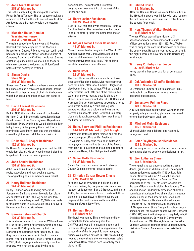## **15 John Arndt Residence 315 W. Market St.**

This is the last building standing of the former Fisher & Arndt Tannery. The tall square stack was removed in 1925, but the vats are still visible. John Arndt was the third most-wealthy Jonestown citizen.

## **16 Mansion House/Hotel or Washington House 413 W. Jonestown Rd.**

The train depot of the Pennsylvania & Reading Railroad was once adjacent to the Mansion House/Hotel. George F. Meily, who worked in coal had a farm across the street, was the Captain of Company B during the Civil War. At least 10 acres of Italian-quality marble was found on the farm while workers were widening the Union Canal before it was destroyed by flood.

## **17 Simon Desh's Shoe Shop 310 W. Market St.**

Shoemaker Simon Desh and others also operated this shoe shop as a travelers' roadhouse. Townsfolk would gather in rows of chairs in the home to watch burlesque and other shows that came to town.

### **18 David Earnest Residence 216 W. Market St.**

Built in 1835, this was the home of coachmaker Harrison D. Lord. In the early 1900s, lamplighter David Earnest of the State Highway Department lived here. Every evening he would climb a ladder to light every oil lamp along the street. Every morning he would turn them out, trim the wicks, clean the globes and refill the lamps with oil.

### **19 Dr. Daniel S. Cooper Residence 162 W. Market St.**

Dr. Daniel S. Cooper was a physician and the fifth wealthiest citizen. His services included bleeding his patients to cleanse their impurities.

## **20 John Souder Residence 156 W. Market St.**

John Souder lived to be nearly 100. He made tin roofs, stovepipes and coal cooking stoves. The original log home burned and was rebuilt.

## **21 Henry Heilman Residence 124 W. Market St.**

Henry Heilman was a founding director of Jonestown Bank and the forth wealthiest citizen of Jonestown. In 1879, the log cabin was torn down. Dr. Himmelberger had 100,000 bricks made for the new home in J. H. Shaud's local brickyard. He operated his drug store here.

## **22 German Reformed Church 120 W. Market St.**

This land was deeded from founder William Jones in 1765 to the German Reformed Church and now St. John's UCC. Originally used by both the Lutheran and Reformed congregations, in 1899 they began having services in English twice a month. After a fire at the United Brethren Church in 1910, that congregation temporarily used the property when not being used by the host

parishioners. The rent for the Brethren congregation was one third of the cost of the janitor and coal.

# **23 Henry Lesher Residence 108 W. Market St.**

Built in 1832, this home was owned by Henry & Caroline Lesher. The house has a roll up door in back to better protect the home from Indian attacks.

## **24 Major Thomas Lesher Residence 48 W. Market St.**

Major Thomas Lesher fought in the War of 1812. Another owner was John Seltzer, a founding director of Jonestown Bank and state representative from 1852-1853. This building was later used as a funeral home.

# **25 Buck Hotel 32 W. Market St.**

The Buck Hotel was the social center of town because of its piano parlor. Mourners gathered here for a meal after local funerals. Sleigh rides also began here in the winter. Without a public water system until 1910, one of the three public water pumps was located outside along the street. Former owners included Titus H. Rank and Harrison Shartle. Harrison was thrown by a horse which was scared by a train. His leg was amputated after the accident and was buried between his parents in the Reformed Cemetery. Upon his death, however, Harrison was buried in the Lutheran Cemetery.

## **26 Heim, Barry and Phillips Residences 14-20-24 W. Market St. (left to right)**

Postmaster Jefferson Heim resided and ran the Jonestown post office at #14. Resident, Dr. William A. Barry, who resided at #20 was a local physician as well as Justice of the Peace from 1867-1873. Clothier and founding director of Jonestown Bank, John Phillips lived at #24.

### **27 Simon Boltz Residence 10 W. Market St.**

Simon Boltz was a shoemaker and Lebanon County Commissioner for several terms.

### **28 Christian Seltzer Dower Chests 2 W. Market St.**

Formerly owned by Christian Seltzer, Sr. and Christian Seltzer, Jr., the property is the current location of Jonestown Bank & Trust Co. In the late 1700s, the Seltzers made dower chests with three panels of painted flowers. His chests are on display at the Smithsonian Institute and the Museum of Art in New York.

## **29 Heilman House 6 E. Market St.**

This hotel was run by Simon Heilman and later Jeremiah Heilman, who fought in the Civil War and was a fire insurance agent and innkeeper. Sleigh rides used to begin here in the winter. One of the three public water spigots/ pumps was located outside. In 1911, this building housed the town's telephone switchboard. While Jonestown Bank resided here, a robbery took place in 1931.

# **30 Infilled House 8 E. Market St.**

After the Heilman House was rebuilt from a fire in the 1860s, this space was infilled with one room on the first floor for business use and a false front at the second floor level.

## **31 Hon. Thomas Walker Residence 16 E. Market St.**

Thomas Walker was a liquor dealer, U.S. assessor and one-term member of the state House of Representatives from 1891-1893. Rep. Walker was to bring in the vote for Jonestown to become the county seat. He was encouraged to get drunk the night before and never made it to Harrisburg for the vote.

## **32 Henry C. Philips Residence 32-30 E. Market St.**

Henry was the first bank cashier at Jonestown Bank.

## **33 Col. Valentine Shouffer Residence 100 E. Market St.**

Col. Valentine Shouffer built this home in 1809. He fought in the Revolution where he was captured, but escaped.

### **34 Jonestown Polling Place 128 E. Market St.**

A 10'x20' shed was built by John Wenger on this property solely as a voting place and was used for one hundred years, until 1916.

#### **35 Michael Mohn Residence 165 E. Market St.**

Michael Mohn was a laborer and nationally recognized poet.

## **36 Peter Freylinghouser Residence 129 E. Market St.**

Mr. Freylinghouser, a carpenter and fire insurance agent, was elected county commissioner in 1847.

### **37 Zion Lutheran Church 103 E. Market St.**

The original land was purchased from Jesse Jones, grandson of William Jones. The original congregation was started in 1735 by Rev. John Caspar Stoever, who in 1733 was the second Lutheran pastor ordained in America. The cornerstone of the 1792 structure was laid by the son of Rev. Henry Melchior Muhlenberg. The second pastor, Frederick Melzheimer, chaired a committee that determined all services, meetings and business of the Lutheran Churches must be done in German. He also authored a book "Insects of PA" containing 5,302 species and 14,774 specimens. Since free public school began using English, the seventh pastor William Gerhardt (1817-1917) was the first to preach regularly in both English and German. Services in German were discontinued in 1918. The eighth pastor, Franklin Schantz, was a co-founder of the Lebanon County Historical Society. An elevator was installed in 1988.